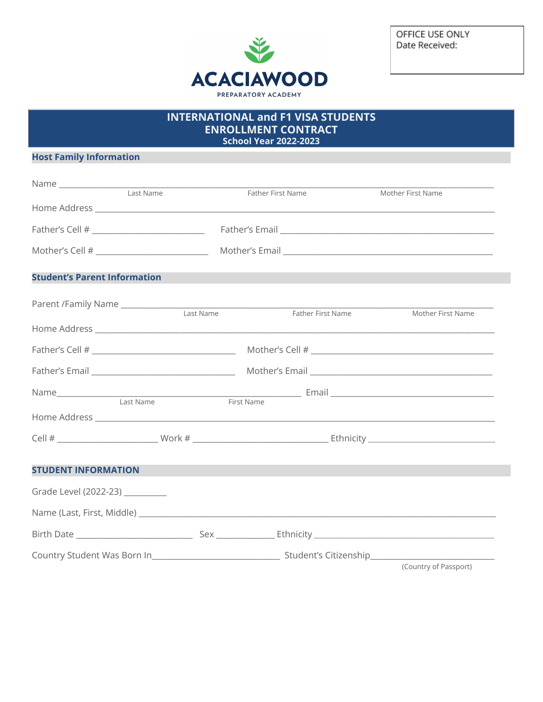

OFFICE USE ONLY Date Received:

## **INTERNATIONAL and F1 VISA STUDENTS ENROLLMENT CONTRACT**

**School Year 2022-2023** 

## **Host Family Information**

|                                     | Last Name | Father First Name | Mother First Name |                       |
|-------------------------------------|-----------|-------------------|-------------------|-----------------------|
|                                     |           |                   |                   |                       |
|                                     |           |                   |                   |                       |
|                                     |           |                   |                   |                       |
| <b>Student's Parent Information</b> |           |                   |                   |                       |
|                                     |           |                   |                   | Mother First Name     |
|                                     |           |                   |                   |                       |
|                                     |           |                   |                   |                       |
|                                     |           |                   |                   |                       |
| Last Name                           |           | First Name        |                   |                       |
|                                     |           |                   |                   |                       |
|                                     |           |                   |                   |                       |
| <b>STUDENT INFORMATION</b>          |           |                   |                   |                       |
| Grade Level (2022-23) _________     |           |                   |                   |                       |
|                                     |           |                   |                   |                       |
|                                     |           |                   |                   |                       |
|                                     |           |                   |                   |                       |
|                                     |           |                   |                   | (Country of Passport) |